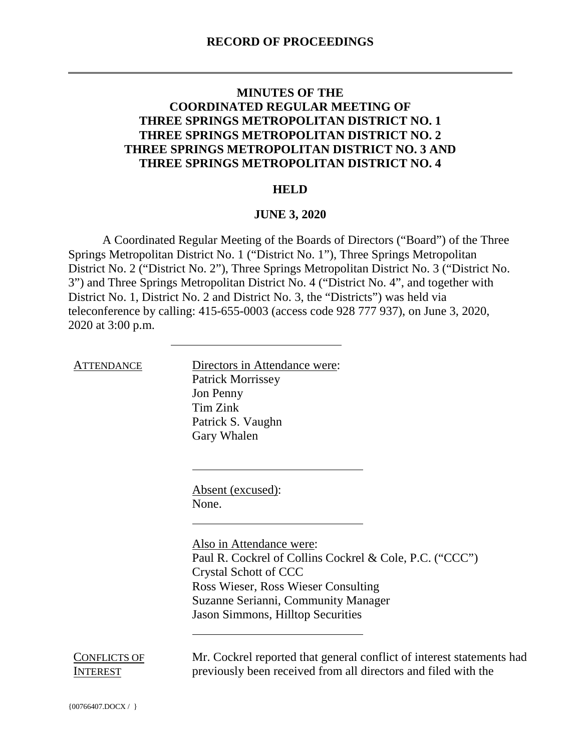## **MINUTES OF THE COORDINATED REGULAR MEETING OF THREE SPRINGS METROPOLITAN DISTRICT NO. 1 THREE SPRINGS METROPOLITAN DISTRICT NO. 2 THREE SPRINGS METROPOLITAN DISTRICT NO. 3 AND THREE SPRINGS METROPOLITAN DISTRICT NO. 4**

## **HELD**

## **JUNE 3, 2020**

A Coordinated Regular Meeting of the Boards of Directors ("Board") of the Three Springs Metropolitan District No. 1 ("District No. 1"), Three Springs Metropolitan District No. 2 ("District No. 2"), Three Springs Metropolitan District No. 3 ("District No. 3") and Three Springs Metropolitan District No. 4 ("District No. 4", and together with District No. 1, District No. 2 and District No. 3, the "Districts") was held via teleconference by calling: 415-655-0003 (access code 928 777 937), on June 3, 2020, 2020 at 3:00 p.m.

ATTENDANCE Directors in Attendance were: Patrick Morrissey Jon Penny Tim Zink Patrick S. Vaughn Gary Whalen

> Absent (excused): None.

Also in Attendance were: Paul R. Cockrel of Collins Cockrel & Cole, P.C. ("CCC") Crystal Schott of CCC Ross Wieser, Ross Wieser Consulting Suzanne Serianni, Community Manager Jason Simmons, Hilltop Securities

CONFLICTS OF **INTEREST** 

Mr. Cockrel reported that general conflict of interest statements had previously been received from all directors and filed with the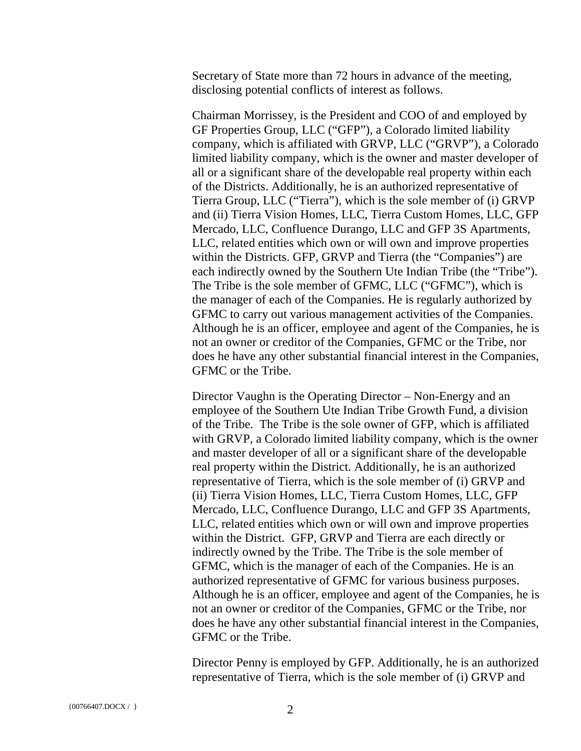Secretary of State more than 72 hours in advance of the meeting, disclosing potential conflicts of interest as follows.

Chairman Morrissey, is the President and COO of and employed by GF Properties Group, LLC ("GFP"), a Colorado limited liability company, which is affiliated with GRVP, LLC ("GRVP"), a Colorado limited liability company, which is the owner and master developer of all or a significant share of the developable real property within each of the Districts. Additionally, he is an authorized representative of Tierra Group, LLC ("Tierra"), which is the sole member of (i) GRVP and (ii) Tierra Vision Homes, LLC, Tierra Custom Homes, LLC, GFP Mercado, LLC, Confluence Durango, LLC and GFP 3S Apartments, LLC, related entities which own or will own and improve properties within the Districts. GFP, GRVP and Tierra (the "Companies") are each indirectly owned by the Southern Ute Indian Tribe (the "Tribe"). The Tribe is the sole member of GFMC, LLC ("GFMC"), which is the manager of each of the Companies. He is regularly authorized by GFMC to carry out various management activities of the Companies. Although he is an officer, employee and agent of the Companies, he is not an owner or creditor of the Companies, GFMC or the Tribe, nor does he have any other substantial financial interest in the Companies, GFMC or the Tribe.

Director Vaughn is the Operating Director – Non-Energy and an employee of the Southern Ute Indian Tribe Growth Fund, a division of the Tribe. The Tribe is the sole owner of GFP, which is affiliated with GRVP, a Colorado limited liability company, which is the owner and master developer of all or a significant share of the developable real property within the District. Additionally, he is an authorized representative of Tierra, which is the sole member of (i) GRVP and (ii) Tierra Vision Homes, LLC, Tierra Custom Homes, LLC, GFP Mercado, LLC, Confluence Durango, LLC and GFP 3S Apartments, LLC, related entities which own or will own and improve properties within the District. GFP, GRVP and Tierra are each directly or indirectly owned by the Tribe. The Tribe is the sole member of GFMC, which is the manager of each of the Companies. He is an authorized representative of GFMC for various business purposes. Although he is an officer, employee and agent of the Companies, he is not an owner or creditor of the Companies, GFMC or the Tribe, nor does he have any other substantial financial interest in the Companies, GFMC or the Tribe.

Director Penny is employed by GFP. Additionally, he is an authorized representative of Tierra, which is the sole member of (i) GRVP and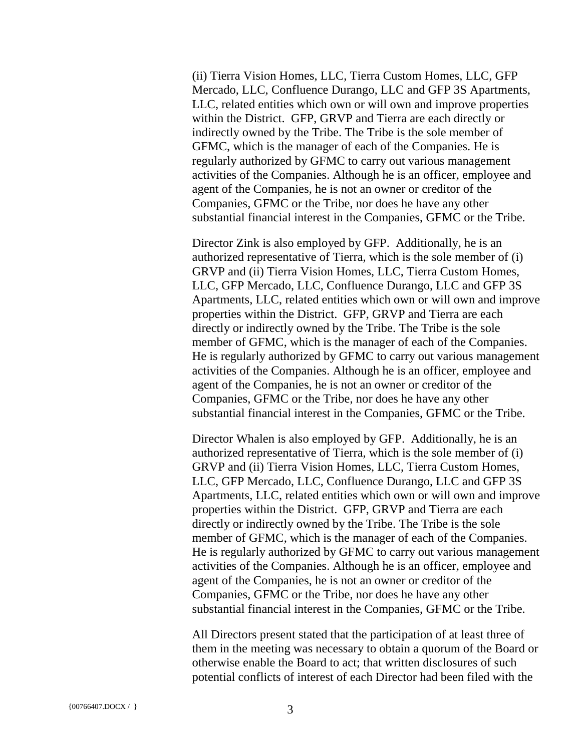(ii) Tierra Vision Homes, LLC, Tierra Custom Homes, LLC, GFP Mercado, LLC, Confluence Durango, LLC and GFP 3S Apartments, LLC, related entities which own or will own and improve properties within the District. GFP, GRVP and Tierra are each directly or indirectly owned by the Tribe. The Tribe is the sole member of GFMC, which is the manager of each of the Companies. He is regularly authorized by GFMC to carry out various management activities of the Companies. Although he is an officer, employee and agent of the Companies, he is not an owner or creditor of the Companies, GFMC or the Tribe, nor does he have any other substantial financial interest in the Companies, GFMC or the Tribe.

Director Zink is also employed by GFP. Additionally, he is an authorized representative of Tierra, which is the sole member of (i) GRVP and (ii) Tierra Vision Homes, LLC, Tierra Custom Homes, LLC, GFP Mercado, LLC, Confluence Durango, LLC and GFP 3S Apartments, LLC, related entities which own or will own and improve properties within the District. GFP, GRVP and Tierra are each directly or indirectly owned by the Tribe. The Tribe is the sole member of GFMC, which is the manager of each of the Companies. He is regularly authorized by GFMC to carry out various management activities of the Companies. Although he is an officer, employee and agent of the Companies, he is not an owner or creditor of the Companies, GFMC or the Tribe, nor does he have any other substantial financial interest in the Companies, GFMC or the Tribe.

Director Whalen is also employed by GFP. Additionally, he is an authorized representative of Tierra, which is the sole member of (i) GRVP and (ii) Tierra Vision Homes, LLC, Tierra Custom Homes, LLC, GFP Mercado, LLC, Confluence Durango, LLC and GFP 3S Apartments, LLC, related entities which own or will own and improve properties within the District. GFP, GRVP and Tierra are each directly or indirectly owned by the Tribe. The Tribe is the sole member of GFMC, which is the manager of each of the Companies. He is regularly authorized by GFMC to carry out various management activities of the Companies. Although he is an officer, employee and agent of the Companies, he is not an owner or creditor of the Companies, GFMC or the Tribe, nor does he have any other substantial financial interest in the Companies, GFMC or the Tribe.

All Directors present stated that the participation of at least three of them in the meeting was necessary to obtain a quorum of the Board or otherwise enable the Board to act; that written disclosures of such potential conflicts of interest of each Director had been filed with the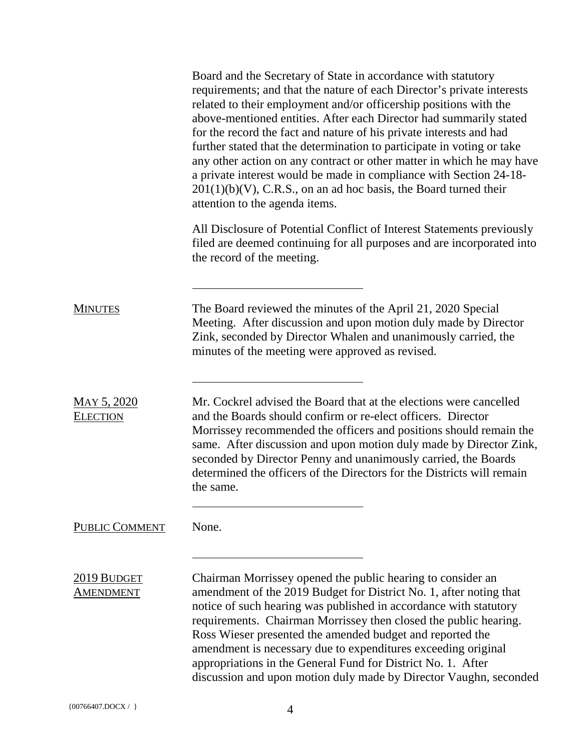|                                       | Board and the Secretary of State in accordance with statutory<br>requirements; and that the nature of each Director's private interests<br>related to their employment and/or officership positions with the<br>above-mentioned entities. After each Director had summarily stated<br>for the record the fact and nature of his private interests and had<br>further stated that the determination to participate in voting or take<br>any other action on any contract or other matter in which he may have<br>a private interest would be made in compliance with Section 24-18-<br>$201(1)(b)(V)$ , C.R.S., on an ad hoc basis, the Board turned their<br>attention to the agenda items. |
|---------------------------------------|---------------------------------------------------------------------------------------------------------------------------------------------------------------------------------------------------------------------------------------------------------------------------------------------------------------------------------------------------------------------------------------------------------------------------------------------------------------------------------------------------------------------------------------------------------------------------------------------------------------------------------------------------------------------------------------------|
|                                       | All Disclosure of Potential Conflict of Interest Statements previously<br>filed are deemed continuing for all purposes and are incorporated into<br>the record of the meeting.                                                                                                                                                                                                                                                                                                                                                                                                                                                                                                              |
| <b>MINUTES</b>                        | The Board reviewed the minutes of the April 21, 2020 Special<br>Meeting. After discussion and upon motion duly made by Director<br>Zink, seconded by Director Whalen and unanimously carried, the<br>minutes of the meeting were approved as revised.                                                                                                                                                                                                                                                                                                                                                                                                                                       |
| <b>MAY 5, 2020</b><br><b>ELECTION</b> | Mr. Cockrel advised the Board that at the elections were cancelled<br>and the Boards should confirm or re-elect officers. Director<br>Morrissey recommended the officers and positions should remain the<br>same. After discussion and upon motion duly made by Director Zink,<br>seconded by Director Penny and unanimously carried, the Boards<br>determined the officers of the Directors for the Districts will remain<br>the same.                                                                                                                                                                                                                                                     |
| PUBLIC COMMENT                        | None.                                                                                                                                                                                                                                                                                                                                                                                                                                                                                                                                                                                                                                                                                       |
| 2019 BUDGET<br><b>AMENDMENT</b>       | Chairman Morrissey opened the public hearing to consider an<br>amendment of the 2019 Budget for District No. 1, after noting that<br>notice of such hearing was published in accordance with statutory<br>requirements. Chairman Morrissey then closed the public hearing.<br>Ross Wieser presented the amended budget and reported the<br>amendment is necessary due to expenditures exceeding original<br>appropriations in the General Fund for District No. 1. After<br>discussion and upon motion duly made by Director Vaughn, seconded                                                                                                                                               |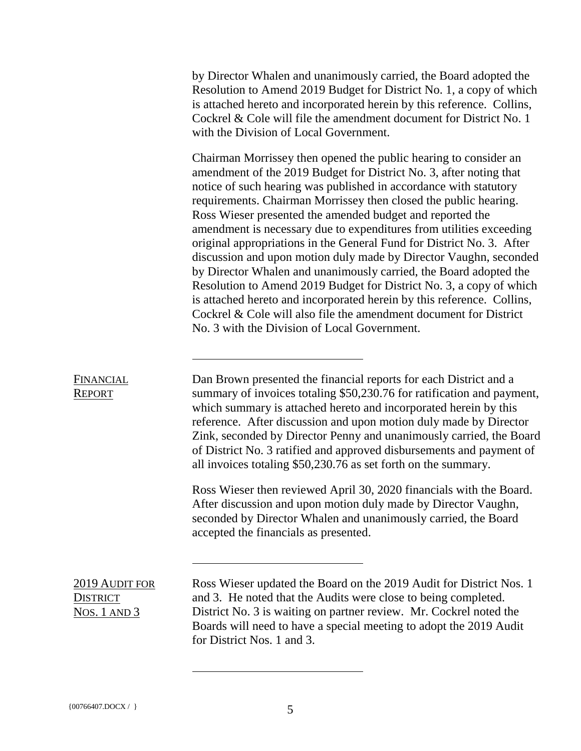by Director Whalen and unanimously carried, the Board adopted the Resolution to Amend 2019 Budget for District No. 1, a copy of which is attached hereto and incorporated herein by this reference. Collins, Cockrel & Cole will file the amendment document for District No. 1 with the Division of Local Government.

Chairman Morrissey then opened the public hearing to consider an amendment of the 2019 Budget for District No. 3, after noting that notice of such hearing was published in accordance with statutory requirements. Chairman Morrissey then closed the public hearing. Ross Wieser presented the amended budget and reported the amendment is necessary due to expenditures from utilities exceeding original appropriations in the General Fund for District No. 3. After discussion and upon motion duly made by Director Vaughn, seconded by Director Whalen and unanimously carried, the Board adopted the Resolution to Amend 2019 Budget for District No. 3, a copy of which is attached hereto and incorporated herein by this reference. Collins, Cockrel & Cole will also file the amendment document for District No. 3 with the Division of Local Government.

## **FINANCIAL** REPORT

Dan Brown presented the financial reports for each District and a summary of invoices totaling \$50,230.76 for ratification and payment, which summary is attached hereto and incorporated herein by this reference. After discussion and upon motion duly made by Director Zink, seconded by Director Penny and unanimously carried, the Board of District No. 3 ratified and approved disbursements and payment of all invoices totaling \$50,230.76 as set forth on the summary.

Ross Wieser then reviewed April 30, 2020 financials with the Board. After discussion and upon motion duly made by Director Vaughn, seconded by Director Whalen and unanimously carried, the Board accepted the financials as presented.

2019 AUDIT FOR **DISTRICT** NOS. 1 AND 3 Ross Wieser updated the Board on the 2019 Audit for District Nos. 1 and 3. He noted that the Audits were close to being completed. District No. 3 is waiting on partner review. Mr. Cockrel noted the Boards will need to have a special meeting to adopt the 2019 Audit for District Nos. 1 and 3.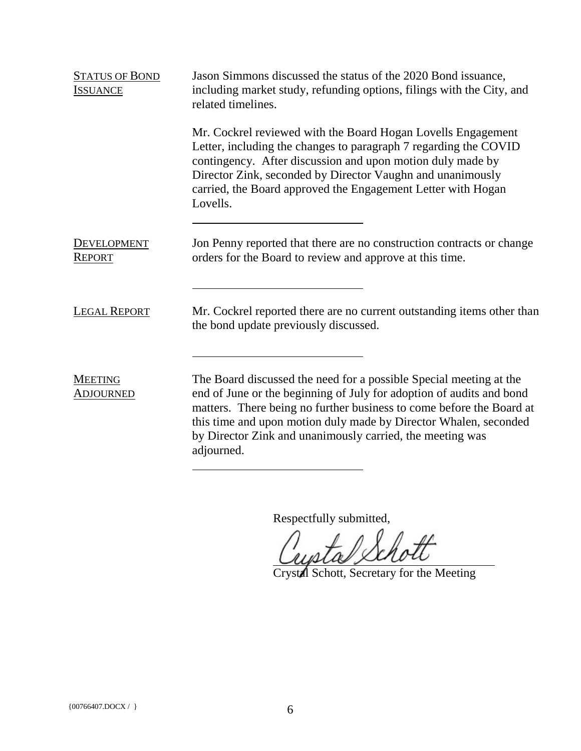| <b>STATUS OF BOND</b><br><b>ISSUANCE</b> | Jason Simmons discussed the status of the 2020 Bond issuance,<br>including market study, refunding options, filings with the City, and<br>related timelines.                                                                                                                                                                                                      |
|------------------------------------------|-------------------------------------------------------------------------------------------------------------------------------------------------------------------------------------------------------------------------------------------------------------------------------------------------------------------------------------------------------------------|
|                                          | Mr. Cockrel reviewed with the Board Hogan Lovells Engagement<br>Letter, including the changes to paragraph 7 regarding the COVID<br>contingency. After discussion and upon motion duly made by<br>Director Zink, seconded by Director Vaughn and unanimously<br>carried, the Board approved the Engagement Letter with Hogan<br>Lovells.                          |
| <b>DEVELOPMENT</b><br><b>REPORT</b>      | Jon Penny reported that there are no construction contracts or change<br>orders for the Board to review and approve at this time.                                                                                                                                                                                                                                 |
| <b>LEGAL REPORT</b>                      | Mr. Cockrel reported there are no current outstanding items other than<br>the bond update previously discussed.                                                                                                                                                                                                                                                   |
| <b>MEETING</b><br><b>ADJOURNED</b>       | The Board discussed the need for a possible Special meeting at the<br>end of June or the beginning of July for adoption of audits and bond<br>matters. There being no further business to come before the Board at<br>this time and upon motion duly made by Director Whalen, seconded<br>by Director Zink and unanimously carried, the meeting was<br>adjourned. |

Respectfully submitted,<br>Countal Schott

Crystal Schott, Secretary for the Meeting